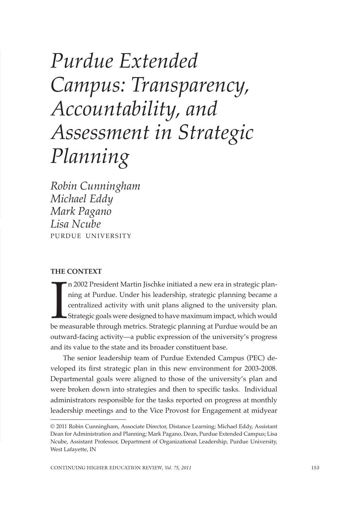# *Purdue Extended Campus: Transparency, Accountability, and Assessment in Strategic Planning*

*Robin Cunningham Michael Eddy Mark Pagano Lisa Ncube*  PURDUE UNIVERSITY

#### **THE CONTEXT**

In 2002 President Martin Jischke initiated a new era in strategic planning at Purdue. Under his leadership, strategic planning became a centralized activity with unit plans aligned to the university plan. Strategic goals w n 2002 President Martin Jischke initiated a new era in strategic planning at Purdue. Under his leadership, strategic planning became a centralized activity with unit plans aligned to the university plan. Strategic goals were designed to have maximum impact, which would outward-facing activity—a public expression of the university's progress and its value to the state and its broader constituent base.

The senior leadership team of Purdue Extended Campus (PEC) developed its first strategic plan in this new environment for 2003-2008. Departmental goals were aligned to those of the university's plan and were broken down into strategies and then to specific tasks. Individual administrators responsible for the tasks reported on progress at monthly leadership meetings and to the Vice Provost for Engagement at midyear

<sup>© 2011</sup> Robin Cunningham, Associate Director, Distance Learning; Michael Eddy, Assistant Dean for Administration and Planning; Mark Pagano, Dean, Purdue Extended Campus; Lisa Ncube, Assistant Professor, Department of Organizational Leadership, Purdue University, West Lafayette, IN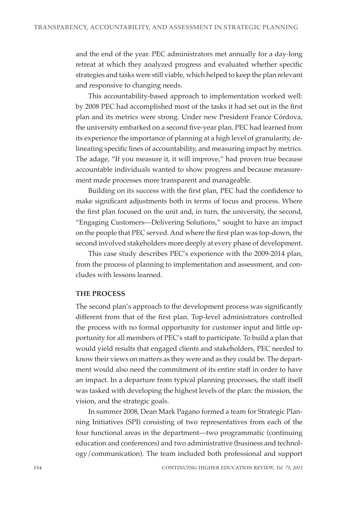and the end of the year. PEC administrators met annually for a day-long retreat at which they analyzed progress and evaluated whether specific strategies and tasks were still viable, which helped to keep the plan relevant and responsive to changing needs.

This accountability-based approach to implementation worked well: by 2008 PEC had accomplished most of the tasks it had set out in the first plan and its metrics were strong. Under new President France Córdova, the university embarked on a second five-year plan. PEC had learned from its experience the importance of planning at a high level of granularity, delineating specific lines of accountability, and measuring impact by metrics. The adage, "If you measure it, it will improve," had proven true because accountable individuals wanted to show progress and because measurement made processes more transparent and manageable.

Building on its success with the first plan, PEC had the confidence to make significant adjustments both in terms of focus and process. Where the first plan focused on the unit and, in turn, the university, the second, "Engaging Customers—Delivering Solutions," sought to have an impact on the people that PEC served. And where the first plan was top-down, the second involved stakeholders more deeply at every phase of development.

This case study describes PEC's experience with the 2009-2014 plan, from the process of planning to implementation and assessment, and concludes with lessons learned.

### **THE PROCESS**

The second plan's approach to the development process was significantly different from that of the first plan. Top-level administrators controlled the process with no formal opportunity for customer input and little opportunity for all members of PEC's staff to participate. To build a plan that would yield results that engaged clients and stakeholders, PEC needed to know their views on matters as they were and as they could be. The department would also need the commitment of its entire staff in order to have an impact. In a departure from typical planning processes, the staff itself was tasked with developing the highest levels of the plan: the mission, the vision, and the strategic goals.

In summer 2008, Dean Mark Pagano formed a team for Strategic Planning Initiatives (SPI) consisting of two representatives from each of the four functional areas in the department—two programmatic (continuing education and conferences) and two administrative (business and technology/communication). The team included both professional and support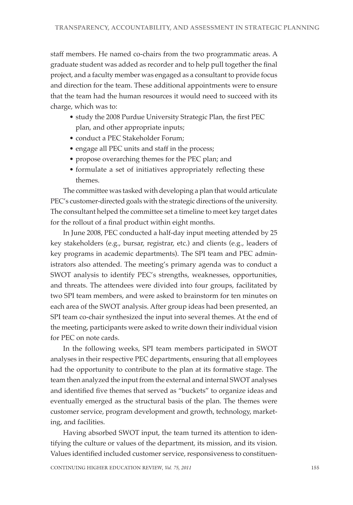staff members. He named co-chairs from the two programmatic areas. A graduate student was added as recorder and to help pull together the final project, and a faculty member was engaged as a consultant to provide focus and direction for the team. These additional appointments were to ensure that the team had the human resources it would need to succeed with its charge, which was to:

- study the 2008 Purdue University Strategic Plan, the first PEC plan, and other appropriate inputs;
- conduct a PEC Stakeholder Forum;
- engage all PEC units and staff in the process;
- propose overarching themes for the PEC plan; and
- formulate a set of initiatives appropriately reflecting these themes.

The committee was tasked with developing a plan that would articulate PEC's customer-directed goals with the strategic directions of the university. The consultant helped the committee set a timeline to meet key target dates for the rollout of a final product within eight months.

In June 2008, PEC conducted a half-day input meeting attended by 25 key stakeholders (e.g., bursar, registrar, etc.) and clients (e.g., leaders of key programs in academic departments). The SPI team and PEC administrators also attended. The meeting's primary agenda was to conduct a SWOT analysis to identify PEC's strengths, weaknesses, opportunities, and threats. The attendees were divided into four groups, facilitated by two SPI team members, and were asked to brainstorm for ten minutes on each area of the SWOT analysis. After group ideas had been presented, an SPI team co-chair synthesized the input into several themes. At the end of the meeting, participants were asked to write down their individual vision for PEC on note cards.

In the following weeks, SPI team members participated in SWOT analyses in their respective PEC departments, ensuring that all employees had the opportunity to contribute to the plan at its formative stage. The team then analyzed the input from the external and internal SWOT analyses and identified five themes that served as "buckets" to organize ideas and eventually emerged as the structural basis of the plan. The themes were customer service, program development and growth, technology, marketing, and facilities.

Having absorbed SWOT input, the team turned its attention to identifying the culture or values of the department, its mission, and its vision. Values identified included customer service, responsiveness to constituen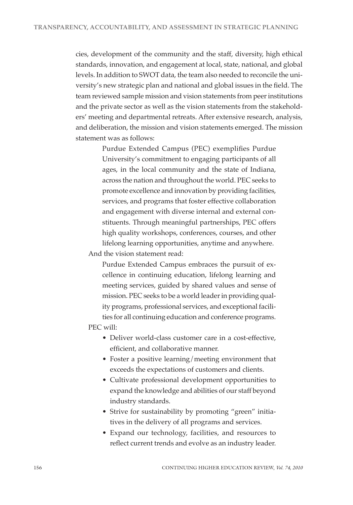cies, development of the community and the staff, diversity, high ethical standards, innovation, and engagement at local, state, national, and global levels. In addition to SWOT data, the team also needed to reconcile the university's new strategic plan and national and global issues in the field. The team reviewed sample mission and vision statements from peer institutions and the private sector as well as the vision statements from the stakeholders' meeting and departmental retreats. After extensive research, analysis, and deliberation, the mission and vision statements emerged. The mission statement was as follows:

> Purdue Extended Campus (PEC) exemplifies Purdue University's commitment to engaging participants of all ages, in the local community and the state of Indiana, across the nation and throughout the world. PEC seeks to promote excellence and innovation by providing facilities, services, and programs that foster effective collaboration and engagement with diverse internal and external constituents. Through meaningful partnerships, PEC offers high quality workshops, conferences, courses, and other lifelong learning opportunities, anytime and anywhere.

And the vision statement read:

Purdue Extended Campus embraces the pursuit of excellence in continuing education, lifelong learning and meeting services, guided by shared values and sense of mission. PEC seeks to be a world leader in providing quality programs, professional services, and exceptional facilities for all continuing education and conference programs.

## PEC will:

- Deliver world-class customer care in a cost-effective, efficient, and collaborative manner.
- Foster a positive learning/meeting environment that exceeds the expectations of customers and clients.
- Cultivate professional development opportunities to expand the knowledge and abilities of our staff beyond industry standards.
- Strive for sustainability by promoting "green" initiatives in the delivery of all programs and services.
- Expand our technology, facilities, and resources to reflect current trends and evolve as an industry leader.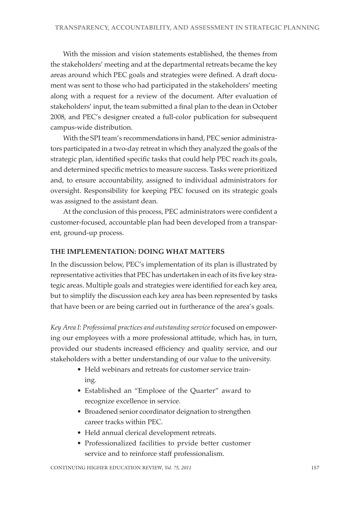With the mission and vision statements established, the themes from the stakeholders' meeting and at the departmental retreats became the key areas around which PEC goals and strategies were defined. A draft document was sent to those who had participated in the stakeholders' meeting along with a request for a review of the document. After evaluation of stakeholders' input, the team submitted a final plan to the dean in October 2008, and PEC's designer created a full-color publication for subsequent campus-wide distribution.

With the SPI team's recommendations in hand, PEC senior administrators participated in a two-day retreat in which they analyzed the goals of the strategic plan, identified specific tasks that could help PEC reach its goals, and determined specific metrics to measure success. Tasks were prioritized and, to ensure accountability, assigned to individual administrators for oversight. Responsibility for keeping PEC focused on its strategic goals was assigned to the assistant dean.

At the conclusion of this process, PEC administrators were confident a customer-focused, accountable plan had been developed from a transparent, ground-up process.

## **THE IMPLEMENTATION: DOING WHAT MATTERS**

In the discussion below, PEC's implementation of its plan is illustrated by representative activities that PEC has undertaken in each of its five key strategic areas. Multiple goals and strategies were identified for each key area, but to simplify the discussion each key area has been represented by tasks that have been or are being carried out in furtherance of the area's goals.

*Key Area I: Professional practices and outstanding service* focused on empowering our employees with a more professional attitude, which has, in turn, provided our students increased efficiency and quality service, and our stakeholders with a better understanding of our value to the university.

- Held webinars and retreats for customer service training.
- Established an "Emploee of the Quarter" award to recognize excellence in service.
- Broadened senior coordinator deignation to strengthen career tracks within PEC.
- Held annual clerical development retreats.
- Professionalized facilities to prvide better customer service and to reinforce staff professionalism.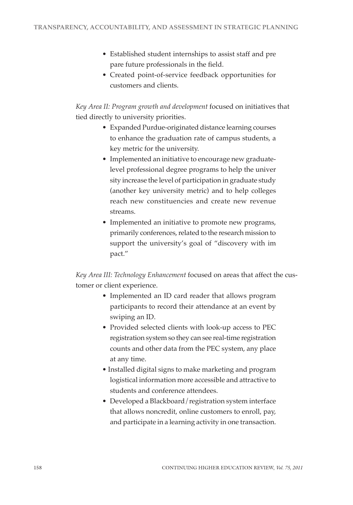- Established student internships to assist staff and pre pare future professionals in the field.
- Created point-of-service feedback opportunities for customers and clients.

*Key Area II: Program growth and development* focused on initiatives that tied directly to university priorities.

- Expanded Purdue-originated distance learning courses to enhance the graduation rate of campus students, a key metric for the university.
- Implemented an initiative to encourage new graduatelevel professional degree programs to help the univer sity increase the level of participation in graduate study (another key university metric) and to help colleges reach new constituencies and create new revenue streams.
- Implemented an initiative to promote new programs, primarily conferences, related to the research mission to support the university's goal of "discovery with im pact."

*Key Area III: Technology Enhancement* focused on areas that affect the customer or client experience.

- Implemented an ID card reader that allows program participants to record their attendance at an event by swiping an ID.
- Provided selected clients with look-up access to PEC registration system so they can see real-time registration counts and other data from the PEC system, any place at any time.
- Installed digital signs to make marketing and program logistical information more accessible and attractive to students and conference attendees.
- Developed a Blackboard/registration system interface that allows noncredit, online customers to enroll, pay, and participate in a learning activity in one transaction.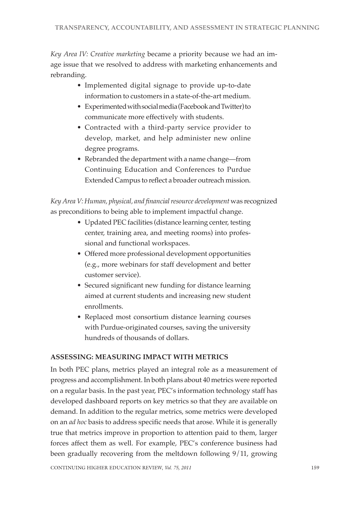*Key Area IV: Creative marketing* became a priority because we had an image issue that we resolved to address with marketing enhancements and rebranding.

- Implemented digital signage to provide up-to-date information to customers in a state-of-the-art medium.
- Experimented with social media (Facebook and Twitter) to communicate more effectively with students.
- Contracted with a third-party service provider to develop, market, and help administer new online degree programs.
- Rebranded the department with a name change—from Continuing Education and Conferences to Purdue Extended Campus to reflect a broader outreach mission.

*Key Area V: Human, physical, and financial resource development* was recognized as preconditions to being able to implement impactful change.

- Updated PEC facilities (distance learning center, testing center, training area, and meeting rooms) into professional and functional workspaces.
- Offered more professional development opportunities (e.g., more webinars for staff development and better customer service).
- Secured significant new funding for distance learning aimed at current students and increasing new student enrollments.
- Replaced most consortium distance learning courses with Purdue-originated courses, saving the university hundreds of thousands of dollars.

## **ASSESSING: MEASURING IMPACT WITH METRICS**

In both PEC plans, metrics played an integral role as a measurement of progress and accomplishment. In both plans about 40 metrics were reported on a regular basis. In the past year, PEC's information technology staff has developed dashboard reports on key metrics so that they are available on demand. In addition to the regular metrics, some metrics were developed on an *ad hoc* basis to address specific needs that arose. While it is generally true that metrics improve in proportion to attention paid to them, larger forces affect them as well. For example, PEC's conference business had been gradually recovering from the meltdown following 9/11, growing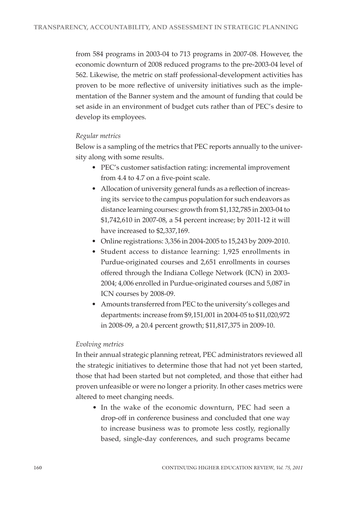from 584 programs in 2003-04 to 713 programs in 2007-08. However, the economic downturn of 2008 reduced programs to the pre-2003-04 level of 562. Likewise, the metric on staff professional-development activities has proven to be more reflective of university initiatives such as the implementation of the Banner system and the amount of funding that could be set aside in an environment of budget cuts rather than of PEC's desire to develop its employees.

## *Regular metrics*

Below is a sampling of the metrics that PEC reports annually to the university along with some results.

- PEC's customer satisfaction rating: incremental improvement from 4.4 to 4.7 on a five-point scale.
- Allocation of university general funds as a reflection of increasing its service to the campus population for such endeavors as distance learning courses: growth from \$1,132,785 in 2003-04 to \$1,742,610 in 2007-08, a 54 percent increase; by 2011-12 it will have increased to \$2,337,169.
- Online registrations: 3,356 in 2004-2005 to 15,243 by 2009-2010.
- Student access to distance learning: 1,925 enrollments in Purdue-originated courses and 2,651 enrollments in courses offered through the Indiana College Network (ICN) in 2003- 2004; 4,006 enrolled in Purdue-originated courses and 5,087 in ICN courses by 2008-09.
- Amounts transferred from PEC to the university's colleges and departments: increase from \$9,151,001 in 2004-05 to \$11,020,972 in 2008-09, a 20.4 percent growth; \$11,817,375 in 2009-10.

## *Evolving metrics*

In their annual strategic planning retreat, PEC administrators reviewed all the strategic initiatives to determine those that had not yet been started, those that had been started but not completed, and those that either had proven unfeasible or were no longer a priority. In other cases metrics were altered to meet changing needs.

• In the wake of the economic downturn, PEC had seen a drop-off in conference business and concluded that one way to increase business was to promote less costly, regionally based, single-day conferences, and such programs became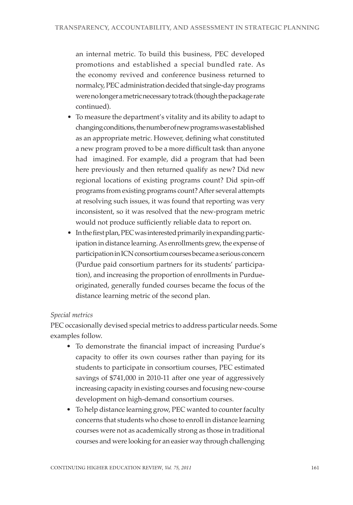an internal metric. To build this business, PEC developed promotions and established a special bundled rate. As the economy revived and conference business returned to normalcy, PEC administration decided that single-day programs were no longer a metric necessary to track (though the package rate continued).

- To measure the department's vitality and its ability to adapt to changing conditions, the number of new programs was established as an appropriate metric. However, defining what constituted a new program proved to be a more difficult task than anyone had imagined. For example, did a program that had been here previously and then returned qualify as new? Did new regional locations of existing programs count? Did spin-off programs from existing programs count? After several attempts at resolving such issues, it was found that reporting was very inconsistent, so it was resolved that the new-program metric would not produce sufficiently reliable data to report on.
- In the first plan, PEC was interested primarily in expanding participation in distance learning. As enrollments grew, the expense of participation in ICN consortium courses became a serious concern (Purdue paid consortium partners for its students' participation), and increasing the proportion of enrollments in Purdueoriginated, generally funded courses became the focus of the distance learning metric of the second plan.

## *Special metrics*

PEC occasionally devised special metrics to address particular needs. Some examples follow.

- To demonstrate the financial impact of increasing Purdue's capacity to offer its own courses rather than paying for its students to participate in consortium courses, PEC estimated savings of \$741,000 in 2010-11 after one year of aggressively increasing capacity in existing courses and focusing new-course development on high-demand consortium courses.
- To help distance learning grow, PEC wanted to counter faculty concerns that students who chose to enroll in distance learning courses were not as academically strong as those in traditional courses and were looking for an easier way through challenging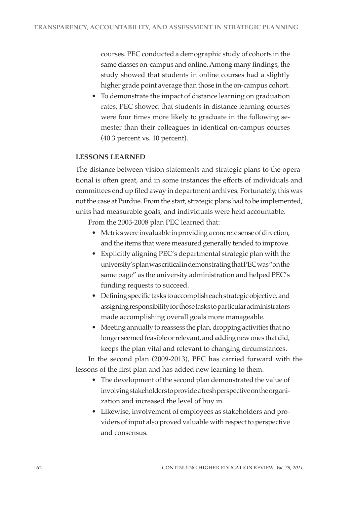courses. PEC conducted a demographic study of cohorts in the same classes on-campus and online. Among many findings, the study showed that students in online courses had a slightly higher grade point average than those in the on-campus cohort.

• To demonstrate the impact of distance learning on graduation rates, PEC showed that students in distance learning courses were four times more likely to graduate in the following semester than their colleagues in identical on-campus courses (40.3 percent vs. 10 percent).

## **LESSONS LEARNED**

The distance between vision statements and strategic plans to the operational is often great, and in some instances the efforts of individuals and committees end up filed away in department archives. Fortunately, this was not the case at Purdue. From the start, strategic plans had to be implemented, units had measurable goals, and individuals were held accountable.

From the 2003-2008 plan PEC learned that:

- Metrics were invaluable in providing a concrete sense of direction, and the items that were measured generally tended to improve.
- Explicitly aligning PEC's departmental strategic plan with the university's plan was critical in demonstrating that PEC was "on the same page" as the university administration and helped PEC's funding requests to succeed.
- Defining specific tasks to accomplish each strategic objective, and assigning responsibility for those tasks to particular administrators made accomplishing overall goals more manageable.
- Meeting annually to reassess the plan, dropping activities that no longer seemed feasible or relevant, and adding new ones that did, keeps the plan vital and relevant to changing circumstances.

In the second plan (2009-2013), PEC has carried forward with the lessons of the first plan and has added new learning to them.

- The development of the second plan demonstrated the value of involving stakeholders to provide a fresh perspective on the organization and increased the level of buy in.
- Likewise, involvement of employees as stakeholders and providers of input also proved valuable with respect to perspective and consensus.